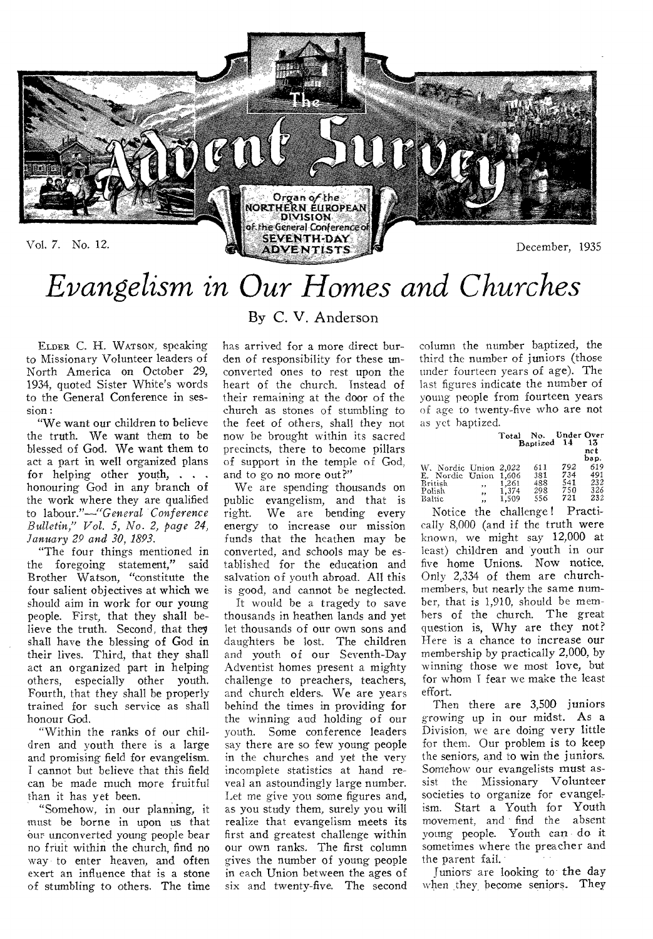

# *Evangelism in Our Homes and Churches*

By C. V. Anderson

ELDER C. **H.** WATSON, **speaking to Missionary Volunteer leaders of North America on October 29, 1934, quoted Sister White's words to the General Conference in session:** 

**"We want our children to believe the truth. We want them to be blessed of God. We want them to act a part in well organized plans for helping other youth, . . . honouring God in any branch of the work where they are qualified to labour."----"General** *Conference Bulletin," Vol. 5, No. 2, page 24, January 29 and 30, 1893.* 

**"The four things mentioned in the foregoing statement," said Brother Watson, "constitute the four salient objectives at which we should aim in work for our young people. First, that they shall believe the truth. Second, that they shall have the blessing of God in their lives. Third, that they shall act an organized part in helping others, especially other youth. Fourth, that they shall be properly trained for such service as shall honour God.** 

**"Within the ranks of our children and youth there is a large and promising field for evangelism. I cannot but believe that this field can be made much more fruitful than it has yet been.** 

**"Somehow, in our planning, it**  must **be borne in upon us that Our unconverted young people bear no fruit within the church, find no**  *way-* **to enter heaven, and often exert an influence that is a** stone **of stumbling to others. The time**  has arrived **for a more direct burden** of responsibility for these unconverted ones to **rest upon the**  heart of the church. Instead of their remaining at the door of the church as stones of stumbling to the feet of others, shall they not now be brought within its sacred precincts, there to become pillars of support in the temple of God, and to go no more out?"

We are spending thousands on public evangelism, and that is right. We are bending every energy to increase our mission funds that the heathen may be converted, and schools may be established for the education and salvation of youth abroad. **All this**  is good, and cannot be neglected.

It would be a tragedy to save thousands in heathen lands **and yet**  let thousands of our own sons **and**  daughters be lost. **The children**  and youth **of our Seventh-Day**  Adventist homes present a mighty challenge to preachers, teachers, and church elders. We are years behind the times in **providing for**  the winning and holding of our youth. Some conference leaders say there are so few **young people**  in the churches and yet the very incomplete statistics at **hand reveal** an astoundingly large number. Let me give you some figures and, as you study them, surely **you will realize that evangelism meets its first and greatest challenge within our own ranks. The first column**  gives the number of young people in each **Union between the ages of**  six and **twenty-five. The second**  column the number baptized, the third the number of juniors (those under fourteen years of age). The last figures indicate the number of young people from fourteen years of age to twenty-five who are not **as yet baptized.** 

|                       |          | Total          | No.<br>Baptized 14 | Under Over | 13          |
|-----------------------|----------|----------------|--------------------|------------|-------------|
|                       |          |                |                    |            | nct<br>bap. |
| W. Nordic Union 2,022 |          |                | 611                | 792        | 619         |
| E. Nordie Union       |          | 1.606          | 381                | 734        | 491         |
| British               | ,,       | 1.261          | 488                | 541<br>750 | 232<br>326  |
| Polish<br>Baltic      | ,,<br>,, | 1.374<br>1,509 | 298<br>556         | 721        | 232         |

Notice the challenge ! **Practically** 8,000 (and if the truth were known, we might say **12,000 at**  least) children and youth in our five home **Unions. Now notice.**  Only 2,334 of them are **church**members, but nearly the same **number,** that is 1,910, should be members of the church. The great question is, **Why are they not?**  Here is a chance to **increase our**  membership by **practically 2,000, by**  winning those we most **love, but**  for whom I fear we make the least effort.

Then there **are 3,500 juniors**  growing up in our **midst. As a**  Division, we are **doing very little**  for them. Our problem is to keep the seniors, and to win **the juniors.**  Somehow our evangelists must assist the Missionary Volunteer societies to organize for evangelism. Start a Youth for Youth movement, and find the absent young people. Youth can **do it**  sometimes where the preacher and the parent **fail.** 

Juniors-are looking to **the day**  when they become **seniors. They**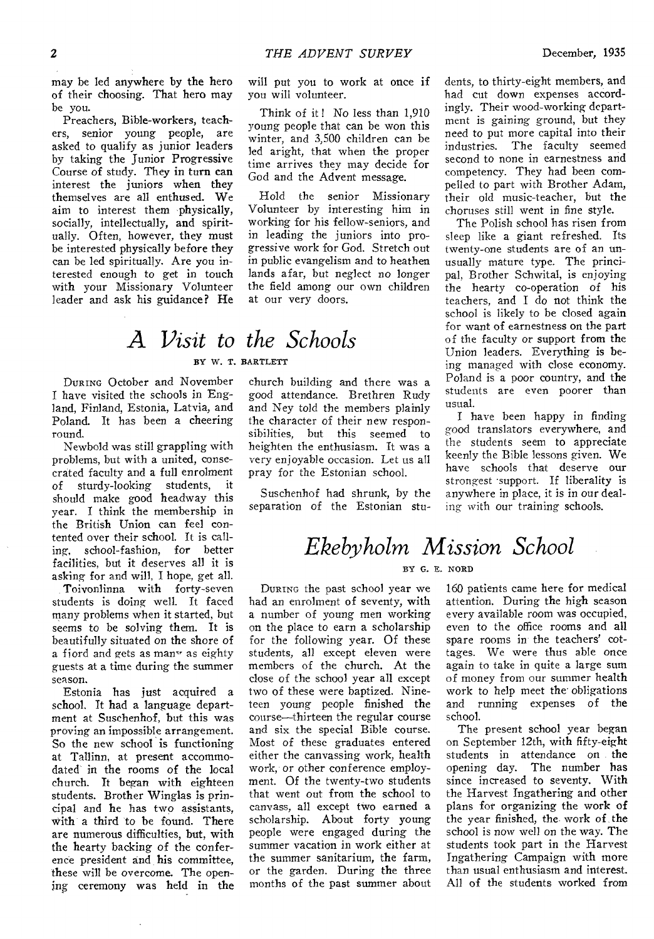may be led anywhere by the hero of their choosing. That hero may be you.

Preachers, Bible-workers, teachers, senior young people, are asked to qualify as junior leaders by taking the Junior Progressive Course of study. They in turn can interest the juniors when they themselves are all enthused. We aim to interest them physically, socially, intellectually, and spiritually. Often, however, they must be interested physically before they can be led spiritually. Are you interested enough to get in touch with your Missionary Volunteer leader and ask his guidance? He

will put you to work at once if you will volunteer.

Think of it ! No less than 1,910 young people that can be won this winter, and 3,500 children can be led aright, that when the proper time arrives they may decide for God and the Advent message.

Hold the senior Missionary Volunteer by interesting him in working for his fellow-seniors, and in leading the juniors into progressive work for God. Stretch out in public evangelism and to heathen lands afar, but neglect no longer the field among our own children at our very doors.

### A *Visit to the Schools*  BY W. T. BARTLETT

DURING October and November I have visited the schools in England, Finland, Estonia, Latvia, and Poland. It has been a cheering round.

Newbold was still grappling with problems, but with a united, consecrated faculty and a full enrolment of sturdy-looking students, it should make good headway this year. I think the membership in the British Union can feel contented over their school. It is calling, school-fashion, for better facilities, but it deserves all it is asking for and will, I hope, get all.

Toivonlinna with forty-seven students is doing well. It faced many problems when it started, but seems to be solving them. It is beautifully situated on the shore of a fiord and gets as many as eighty guests at a time during the summer season.

Estonia has just acquired a school. It had a language department at Suschenhof, but this was proving an impossible arrangement. So the new school is functioning at Tallinn, at present accommodated in the rooms of the local church. It began with eighteen students. Brother Winglas is principal and he has two assistants, with a third to be found. There are numerous difficulties, but, with the hearty backing of the conference president and his committee, these will be overcome. The opening ceremony was held in the church building and there was a good attendance. Brethren Rudy and Ney told the members plainly the character of their new responsibilities, but this seemed to heighten the enthusiasm. It was a very enjoyable occasion. Let us all pray for the Estonian school.

Suschenhof had shrunk, by the separation of the Estonian stu-

dents, to thirty-eight members, and had cut down expenses accordingly. Their wood-working department is gaining ground, but they need to put more capital into their industries. The faculty seemed second to none in earnestness and competency. They had been compelled to part with Brother Adam, their old music-teacher, but the choruses still went in fine style.

The Polish school has risen from sleep like a giant refreshed. Its twenty-one students are of an unusually mature type. The principal, Brother Schwital, is enjoying the hearty co-operation of his teachers, and I do not think the school is likely to be closed again for want of earnestness on the part of the faculty or support from the Union leaders. Everything is being managed with close economy. Poland is a poor country, and the students are even poorer than usual.

I have been happy in finding good translators everywhere, and the students seem to appreciate keenly the Bible lessons given. We have schools that deserve our strongest support. If liberality is anywhere in place, it is in our dealing with our training schools.

## *Ekebyholm Mission School*

#### BY G. E. NORD

DURING the past school year we had an enrolment of seventy, with a number of young men working on the place to earn a scholarship for the following year. Of these students, all except eleven were members of the church. At the close of the school year all except two of these were baptized. Nineteen young people finished the course—thirteen the regular course and six the special Bible course. Most of these graduates entered either the canvassing work, health work,-or other conference employment. Of the twenty-two students that went out from the school to canvass, all except two earned a scholarship. About forty young people were engaged during the summer vacation in work either at the summer sanitarium, the farm, or the garden. During the three months of the past summer about

160 patients came here for medical attention. During the high season every available room was occupied, even to the office rooms and all spare rooms in-the teachers' cottages. We were thus able once again to take in quite a large sum of money from our summer health work to help meet the obligations and running expenses of the school.

The present school year began on September 12th, with fifty-eight students in attendance on the opening day. The number has since increased to seventy. With the Harvest Ingathering and other plans for organizing the work of the year finished, the work of the school is now well on the way. The students took part in the Harvest Ingathering Campaign with more than usual enthusiasm and interest. All of the students worked from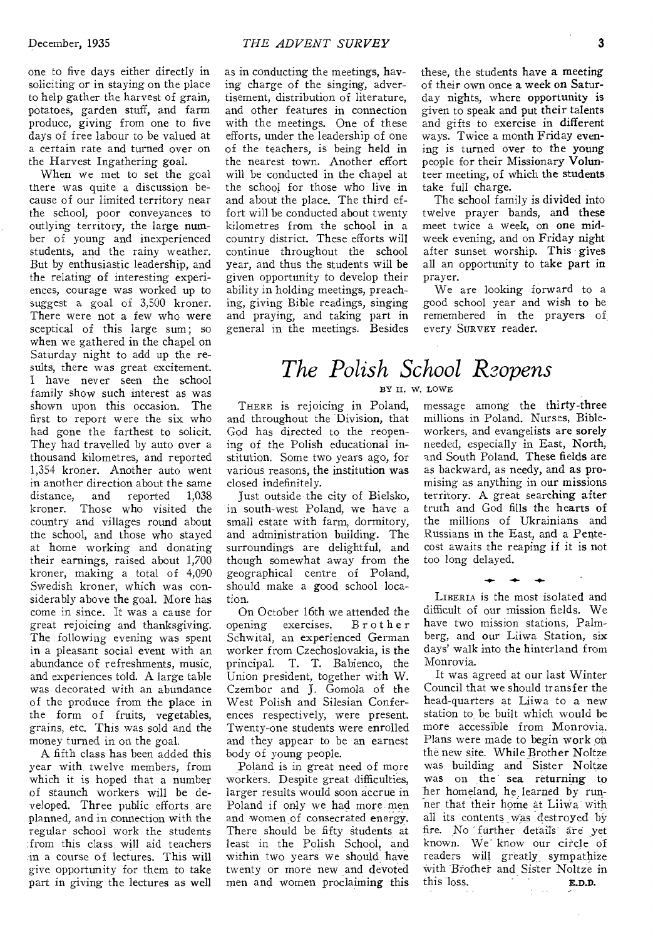one to five days either directly in soliciting or in staying on the place to help gather the harvest of grain, potatoes, garden stuff, and farm produce, giving from one to five days of free labour to be valued at a certain rate and turned over on the Harvest Ingathering goal.

When we met to set the goal there was quite a discussion because of our limited territory near the school, poor conveyances to outlying territory, the large number of young and inexperienced students, and the rainy weather. But by enthusiastic leadership, and the relating of interesting experiences, courage was worked up to suggest a goal of 3,500 kroner. There were not a few who were sceptical of this large sum; so when we gathered in the chapel on Saturday night to add up the results, there was great excitement. I have never seen the school family show such interest as was shown upon this occasion. The first to report were the six who had gone the farthest to solicit. They had travelled by auto over a thousand kilometres, and reported 1,354 kroner. Another auto went in another direction about the same distance, and reported 1,038 kroner. Those who visited the country and villages round about the school, and those who stayed at home working and donating their earnings, raised about 1,700 kroner, making a total of 4,090 Swedish kroner, which was considerably above the goal. More has come in since. It was a cause for great rejoicing and thanksgiving. The following evening was spent in a pleasant social event with an abundance of refreshments, music, and experiences told. A large table was decorated with an abundance of the produce from the place in the form of fruits, vegetables, grains, etc. This was sold and the money turned in on the goal.

A fifth class has been added this year with twelve members, from which it is hoped that a number of staunch workers will be developed. Three public efforts are planned, and in connection with the regular school work the students :from this class will aid teachers in a course of lectures. This will give opportunity for them to take part in giving the lectures as well as in conducting the meetings, having charge of the singing, advertisement, distribution of literature, and other features in connection with the meetings. One of these efforts, under the leadership of one of the teachers, is being held in the nearest town. Another effort will be conducted in the chapel at the school for those who live in and about the place. The third effort will be conducted about twenty kilometres from the school in a country district. These efforts will continue throughout the school year, and thus the students will be given opportunity to develop their ability in holding meetings, preaching, giving Bible readings, singing and praying, and taking part in general in the meetings. Besides these, the students have a meeting of their own once a week on Saturday nights, where opportunity is given to speak and put their talents and gifts to exercise in different ways. Twice a month Friday evening is turned over to the young people for their Missionary Volunteer meeting, of which the students take full charge.

The school family is divided into twelve prayer bands, and these meet twice a week, on one midweek evening, and on Friday night after sunset worship. This gives all an opportunity to take part in prayer.

We are looking forward to a good school year and wish to be remembered in the prayers of, every SURVEY reader.

# *The Polish School Roopens*

BY H. W. LOWE

THERE is rejoicing in Poland, and throughout the Division, that God has directed to the reopening of the Polish educational institution. Some two years ago, for various reasons, the institution was closed indefinitely.

Just outside the city of Bielsko, in south-west Poland, we have a small estate with farm, dormitory, and administration building. The surroundings are delightful, and though somewhat away from the geographical centre of Poland, should make a good school location.

On October 16th we attended the opening exercises. Brother Schwital, an experienced German worker from Czechoslovakia, is the principal. T. T. Babienco, the Union president, together with W. Czembor and J. Gomola of the West Polish and Silesian Conferences respectively, were present. Twenty-one students were enrolled and they appear to be an earnest body of young people.

Poland is in great need of more workers. Despite great difficulties, larger results would soon accrue in Poland if only we had more men and women of consecrated energy. There should be fifty students at least in the Polish School, and within two years we should have twenty or more new and devoted men and women proclaiming this message among the thirty-three millions in Poland. Nurses, Bibleworkers, and evangelists are sorely needed, especially in East, North, and South Poland. These fields are as backward, as needy, and as promising as anything in our missions territory. A great searching after truth and God fills the hearts of the millions of Ukrainians and Russians in the East, and a Pentecost awaits the reaping if it is not too long delayed.

LIBERIA is the most isolated and difficult of our mission fields. We have two mission stations, Palmberg, and our Liiwa Station, six days' walk into the hinterland from Monrovia.

 $+ + +$ 

It was agreed at our last Winter Council that we should transfer the head-quarters at Liiwa to a new station to be built which would be more accessible from Monrovia. Plans were made to begin work on the new site. While Brother Noltze was building and Sister Noltze was on the sea returning to her homeland, he learned by runner that their home at LiiWa with all its contents was destroyed by fire. No further details are yet known. We" know our circle of readers Will greatly, sympathize with Brother and Sister Noltze in this loss. **E.D.D.**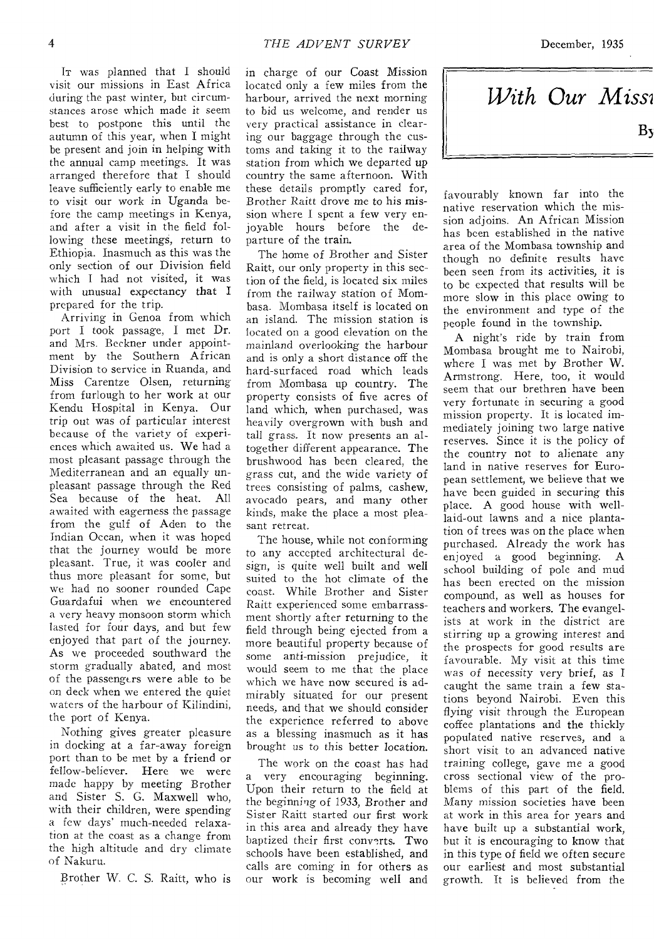IT was planned that I should visit our missions in East Africa during the past winter, but circumstances arose which made it seem best to postpone this until the autumn of this year, when I might be present and join in helping with the annual camp meetings. It was arranged therefore that I should leave sufficiently early to enable me to visit our work in Uganda before the camp meetings in Kenya, and after a visit in the field following these meetings, return to Ethiopia. Inasmuch as this was the only section of our Division field which I had not visited, it was with unusual expectancy that I prepared for the trip.

Arriving in Genoa from which port I took passage, I met Dr. and Mrs. Beckner under appointment by the Southern African Division to service in Ruanda, and Miss Carentze Olsen, returning from furlough to her work at our Kendu Hospital in Kenya. Our trip out was of particular interest because of the variety of experiences which awaited us. We had a most pleasant passage through the Mediterranean and an equally unpleasant passage through the Red<br>Sea because of the heat. All Sea because of the heat. awaited with eagerness the passage from the gulf of Aden to the Indian Ocean, when it was hoped that the journey would be more pleasant. True, it was cooler and thus more pleasant for some, but we had no sooner rounded Cape Guardafui when we encountered a very heavy monsoon storm which lasted for four days, and but few enjoyed that part of the journey. As we proceeded southward the storm gradually abated, and most of the passengers were able to be on deck when we entered the quiet waters of the harbour of Kilindini, the port of Kenya.

Nothing gives greater pleasure in docking at a far-away foreign port than to be met by a friend or fellow-believer. Here we were made happy by meeting Brother and Sister S. G. Maxwell who, with their children, were spending a few days' much-needed relaxation at the coast as a change from the high altitude and dry climate of Nakuru.

Brother W. C. S. Raitt, who is

in charge of our Coast *Mission*  located only a few miles from the harbour, arrived the next morning to bid us welcome, and render us very practical assistance in clearing our baggage through the customs and taking it to the railway station from which we departed up country the same afternoon. With these details promptly cared for, Brother Raitt drove me to his mission where I spent a few very enjoyable hours before the departure of the train.

The home of Brother and Sister Raitt, our only property in this section of the field, is located six miles from the railway station of Mombasa. Mombasa itself is located on an island. The mission station is located on a good elevation on the mainland overlooking the harbour and is only a short distance off the hard-surfaced road which leads from Mombasa up country. The property consists of five acres of land which, when purchased, was heavily overgrown with bush and tall grass. It now presents an altogether different appearance. The brushwood has been cleared, the grass cut, and the wide variety of trees consisting of palms, cashew, avocado pears, and many other kinds, make the place a most pleasant retreat.

The house, while not conforming to any accepted architectural design, is quite well built and well suited to the hot climate of the coast. While Brother and Sister Raitt experienced some embarrassment shortly after returning to the field through being ejected from a more beautiful property because of some anti-mission prejudice, it would seem to me that the place which we have now secured is admirably situated for our present needs, and that we should consider the experience referred to above as a blessing inasmuch as it has brought us to this better location.

The work on the coast has had a very encouraging beginning. Upon their return to the field at the beginning of 1933, Brother and Sister Raitt started our first work in this area and already they have baptized their first converts. Two schools have been established, and calls are coming in for others as our work is becoming well and

*With Our Missl* 

favourably known far into the native reservation which the mission adjoins. An African Mission has been established in the native area of the Mombasa township and though no definite results have been seen from its activities, it *is*  to be expected that results will be more slow in this place owing to the environment and type of the people found in the township.

A night's ride by train from Mombasa brought me to Nairobi, where I was met by Brother W. Armstrong. Here, too, it would seem that our brethren have been very fortunate in securing a good mission property. It is located immediately joining two large native reserves. Since it is the policy of the country not to alienate any land in native reserves for European settlement, we believe that we have been guided in securing this place. A good house with welllaid-out lawns and a nice plantation of trees was on the place when purchased. Already the work has enjoyed a good beginning. A school building of pole and mud has been erected on the mission compound, as well as houses for teachers and workers. The evangelists at work in the district are stirring up a growing interest and the prospects for good results are favourable. My visit at this time was of necessity very brief, as I caught the same train a few stations beyond Nairobi. Even this flying visit through the European coffee plantations and the thickly populated native reserves, and a short visit to an advanced native training college, gave me a good cross sectional view of the problems of this part of the field. Many mission societies have been at work in this area for years and have built up a substantial work, but it is encouraging to know that in this type of field we often secure our earliest and most substantial growth. It is believed from the

 $\mathbf{B}$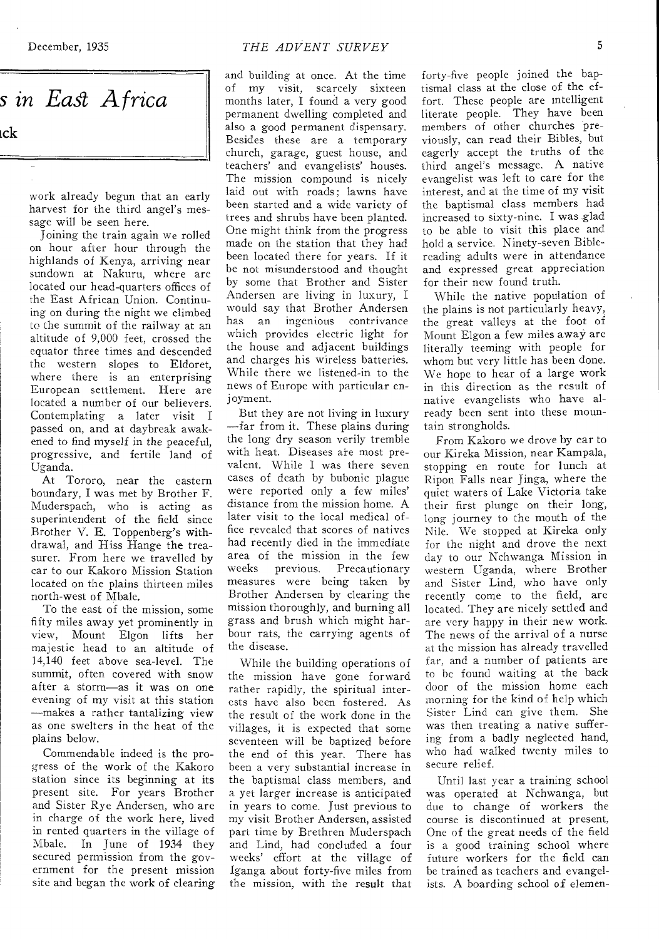*s in East Africa*  ick

**work already begun that an early harvest for the third angel's message will be seen here.** 

**Joining the train again we rolled on hour after hour through the highlands of Kenya, arriving near sundown at Nakuru, where are located our head-quarters offices of the East African Union. Continuing on during the night we climbed to the summit of the railway at an altitude of 9,000 feet, crossed the equator three times and descended the western slopes to Eldoret, where there is an enterprising European settlement. Here are located a number of our believers. Contemplating a later visit I passed on, and at daybreak awakened to find myself in the peaceful, progressive, and fertile land of Uganda.** 

**At Tororo, near the eastern boundary, I was met by Brother F. Muderspach, who is acting as superintendent of the field since Brother V. E. Toppenberg's withdrawal, and Hiss Hange the treasurer. From here we travelled by car to our Kakoro Mission Station located on the plains thirteen miles north-west of Mbale.** 

**To the east of the mission, some fifty miles away yet prominently in view, Mount Elgon lifts her majestic head to an altitude of 14,140 feet above sea-level. The summit, often covered with snow after a storm—as it was on one evening of my visit at this station —makes a rather tantalizing view as one swelters in the heat of the plains below.** 

**Commendable indeed is the progress of the work of the Kakoro station since its beginning at its present site. For years Brother and Sister Rye Andersen, who are in charge of the work here, lived in rented quarters in the village of Mbale. In June of 1934 they secured permission from the government for the present mission site and began the work of clearing** 

and building at once. At the time of my visit, scarcely sixteen months later, I found a very good permanent dwelling completed and also a good permanent dispensary. Besides these are a temporary church, garage, guest house, and teachers' and evangelists' houses. The mission compound is nicely laid out with roads; lawns have been started and a wide variety of trees and shrubs have been planted. One might think from the progress made on the station that they had been located there for years. If it be not misunderstood and thought by some that Brother and Sister Andersen are living in luxury, I would say that Brother Andersen has an ingenious contrivance which provides electric light for the house and adjacent buildings and charges his wireless batteries. While there we listened-in to the news of Europe with particular enjoyment.

But they are not living in luxury —far from it. These plains during the long dry season verily tremble with heat. Diseases are most prevalent. While I was there seven cases of death by bubonic plague were reported only a few miles' distance from the mission home. A later visit to the local medical office revealed that scores of natives had recently died in the immediate area of the mission in the few<br>weeks previous. Precautionary Precautionary measures were being taken by Brother Andersen by clearing the mission thoroughly, and burning all grass and brush which might harbour rats, the carrying agents of the disease.

While the building operations of the mission have gone forward rather rapidly, the spiritual interests have also been fostered. As the result of the work done in the villages, it is expected that some seventeen will be baptized before the end of this year. There has been a very substantial increase in the baptismal class members, and a yet larger increase is anticipated in years to come. Just previous to my visit Brother Andersen, assisted part time by Brethren Muderspach and Lind, had concluded a four weeks' effort at the **village of**  Iganga about forty-five miles from the mission, with the **result that** 

forty-five people joined the baptismal class at the close of the effort. These people are intelligent literate people. They have been members of other churches previously, can read their Bibles, but eagerly accept the truths of the third angel's message. A native evangelist was left to care for the interest, and at the time of my visit the baptismal class members had increased to sixty-nine. I was glad to be able to visit this place and hold a service. Ninety-seven Biblereading adults were in attendance and expressed great appreciation for their new found truth.

While the native population of the plains is not particularly heavy, the great valleys at the foot of Mount Elgon a few miles away are literally teeming with people for whom but very little has been done. We hope to hear of a large work in this direction as the result of native evangelists who have already been sent into these mountain strongholds.

From Kakoro we drove by car to our Kireka Mission, near Kampala, stopping en route for lunch at Ripon Falls near Jinga, where the quiet waters of Lake Victoria take their first plunge on their long, long journey to the mouth **of** the Nile. We stopped at Kireka only for the night and drove the next day to our Nchwanga Mission in western Uganda, where Brother and Sister Lind, who have only recently come to **the field, are**  located. They are nicely settled and are very happy in their new work. The news of the arrival of a **nurse**  at the mission has already travelled far, and a number **of patients are**  to be found waiting at the back door of the mission home each morning for the kind of help which Sister Lind can give them. She was then treating a native suffering from a badly neglected hand, who had walked twenty miles to secure relief.

Until last year a training school was operated at Nchwanga, but due to change of workers the course is discontinued at present. One of the great needs of the field is a good training school where future workers for the **field can be trained as teachers and evangelists.** A **boarding school of elemen-**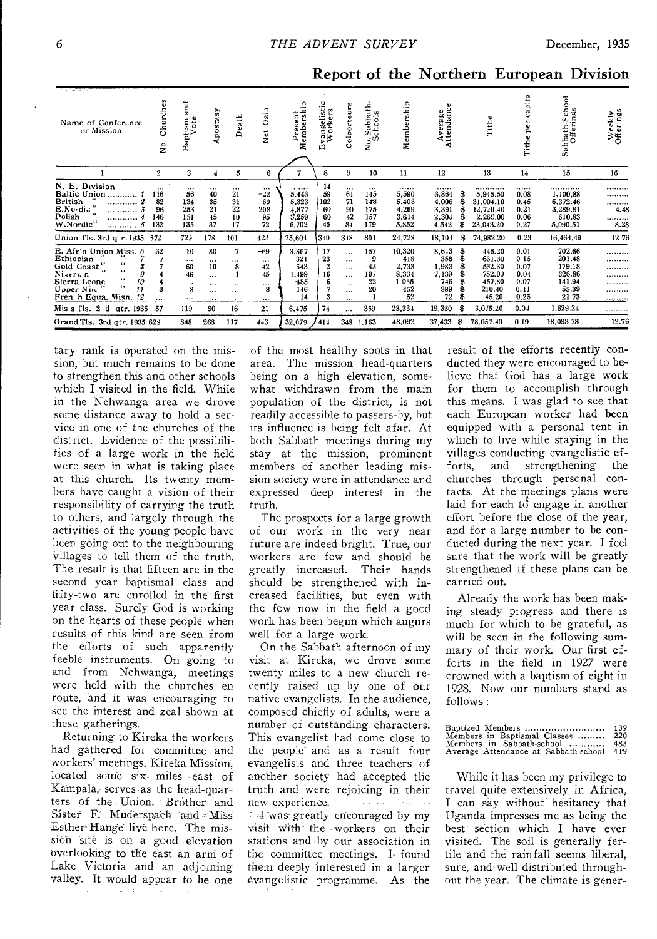| Name of Conference<br>or Mission                                                                                                                                                                               | ure<br>ᅌ<br>ပ<br>s.<br>Z                  | Ξ<br>α<br>Baptism<br>Vote                                          | Apostasy                                                                        | Death                                                 | ain<br>Ö<br>ť<br>ž                                     | rresent<br>lembershi<br>Δ.<br>ż                              | ingelistic<br><sup>7</sup> orkers<br>$\bar{N}$<br>ш | Colporteurs                                                                  | Sabhath-<br>chools<br>$2^{5}$               | Membership                                                     | Average<br>Attendance                                        |              | Tithe                                                                         | capita<br>pe<br>rith.                                       | Sabbath-School<br>Offerings                                                  | Weekly<br>Offerings            |
|----------------------------------------------------------------------------------------------------------------------------------------------------------------------------------------------------------------|-------------------------------------------|--------------------------------------------------------------------|---------------------------------------------------------------------------------|-------------------------------------------------------|--------------------------------------------------------|--------------------------------------------------------------|-----------------------------------------------------|------------------------------------------------------------------------------|---------------------------------------------|----------------------------------------------------------------|--------------------------------------------------------------|--------------|-------------------------------------------------------------------------------|-------------------------------------------------------------|------------------------------------------------------------------------------|--------------------------------|
|                                                                                                                                                                                                                | $\mathbf{2}$                              | 3                                                                  | 4                                                                               | 5                                                     | 6                                                      |                                                              | 8                                                   | 9                                                                            | 10                                          | 11                                                             | 12                                                           |              | 13                                                                            | 14                                                          | 15                                                                           | 16                             |
| N. E. Division<br><b>Baltic Union</b><br><b>British</b><br>.<br>E.No.di."<br>Polish<br>.<br><br>W.Nordic"<br>                                                                                                  | $\cdots$<br>116<br>82<br>96<br>146<br>132 | $\cdots$<br>56<br>134<br>253<br>151<br>135                         | $\cdots$<br>40<br>$\frac{35}{21}$<br>45<br>37                                   | $\cdots$<br>21<br>31<br>22<br>10<br>17                | <br>$-22$<br>69<br>208<br>95<br>72                     | <br>5.443<br>5,323<br>4,877<br>3,259<br>6,702                | 14<br>59<br>102<br>60<br>60<br>45                   | $\cdots$<br>61<br>71<br>90<br>42<br>84                                       | $\cdots$<br>145<br>148<br>175<br>157<br>179 | <br>5,590<br>5,403<br>4,269<br>3,614<br>5,852                  | <br>3,864<br>4.006<br>3,391<br>2,30J<br>4.542                |              | <br>5,945.50<br>31.004.10<br>12,720.40<br>2,269.00<br>23,043.20               | <br>0.08<br>0.45<br>0.21<br>0.06<br>0.27                    | . <b>. .</b><br>1,100.88<br>6,372.46<br>3,289.81<br>610.83<br>5,090.51       | <br><br>.<br>4.48<br><br>8.28  |
| Union fls. 3rd g r. 1935                                                                                                                                                                                       | -572                                      | 72 <sub>3</sub>                                                    | 178                                                                             | 101                                                   | 422                                                    | 25,604                                                       | 340                                                 | $3 + 8$                                                                      | 804                                         | 24,728                                                         | 18,103                                                       | S            | 74,982.20                                                                     | 0.23                                                        | 16,464,49                                                                    | 1276                           |
| E. Afr'n Union Miss. 6<br>Ethiopian<br>66<br>Gold Coast'<br>$\bullet\bullet$<br>Nikeru n<br>9<br>$\cdots$<br>Sierra Leone<br>10<br><br>Upper Nin<br>11<br>Fren h Equa. Misn. 12<br>Mis s Tls. 2 d<br>qtr. 1935 | 32<br>3<br><br>57                         | 10<br><br>60<br>46<br>$\ddot{\phantom{1}}$<br>3<br>$\cdots$<br>119 | 80<br>$\cdots$<br>10<br>$\sim$ $\sim$<br>$\cdots$<br>$\cdots$<br>$\cdots$<br>90 | 7<br><br>8<br>$\cdots$<br>$\cdots$<br>$\ddotsc$<br>16 | -69<br><br>42<br>45<br>$\cdots$<br>3<br>$\cdots$<br>21 | 3,367<br>321<br>643<br>1,499<br>$-485$<br>146<br>14<br>6,475 | 17<br>23<br>$\boldsymbol{2}$<br>16<br>6<br>3<br>74  | $\cdots$<br><br>$\cdots$<br>$\cdots$<br><br>$\cdots$<br>$\cdots$<br>$\cdots$ | 157<br>43<br>107<br>22<br>20<br>359         | 10,320<br>418<br>2,733<br>8.334<br>1055<br>452<br>52<br>23,334 | 8.643<br>358<br>1.983<br>7.139<br>746<br>389<br>72<br>19,330 | S<br>\$<br>Я | 448.20<br>631.30<br>532.30<br>752.00<br>457,80<br>210.40<br>45.20<br>3.075.20 | 0.01<br>015<br>0.07<br>0.04<br>0.07<br>0.11<br>0.25<br>0.04 | 702.66<br>201.48<br>179.18<br>326.86<br>141.94<br>55.39<br>21 73<br>1.629.24 | <br><br><br>.<br>.<br><br><br> |
| Grand Tis. 3rd qtr. 1935 629                                                                                                                                                                                   |                                           | 848                                                                | 268                                                                             | 117                                                   | 443                                                    | 32,079                                                       | 414                                                 |                                                                              | 348 1,163                                   | 48.092                                                         | 37,433                                                       | £            | 78,057.40                                                                     | 0.19                                                        | 18,093 73                                                                    | 12.76                          |

#### Report of the Northern European Division

tary rank is operated on the mission, but much remains to be done to strengthen this and other schools which I visited in the field. While in the Nchwanga area we drove some distance away to hold a service in one of the churches of the district. Evidence of the possibilities of a large work in the field were seen in what is taking place at this church. Its twenty members have caught a vision of their responsibility of carrying the truth to others, and largely through the activities of the young people have been going out to the neighbouring villages to tell them of the truth. The result is that fifteen are in the second year baptismal class and fifty-two are enrolled in the first year class. Surely God is working on the hearts of these people when results of this kind are seen from the efforts of such apparently feeble instruments. On going to and from Nchwanga, meetings were held with the churches en route, and it was encouraging to see the interest and zeal shown at these gatherings.

Returning to Kireka the workers had gathered for committee and workers' meetings. Kireka Mission, located some six miles east of Kampala, serves as the head-quarters of the Union. Brother and Sister F. Muderspach and Miss Esther Hange live here. The mission site is on a good elevation overlooking to the east an arm of Lake Victoria and an adjoining valley. It would appear to be one

of the most healthy spots in that The mission head-quarters area. being on a high elevation, somewhat withdrawn from the main population of the district, is not readily accessible to passers-by, but its influence is being felt afar. At both Sabbath meetings during my stay at the mission, prominent members of another leading mission society were in attendance and expressed deep interest in the truth

The prospects for a large growth of our work in the very near future are indeed bright. True, our workers are few and should be greatly increased. Their hands should be strengthened with increased facilities, but even with the few now in the field a good work has been begun which augurs well for a large work.

On the Sabbath afternoon of my visit at Kireka, we drove some twenty miles to a new church recently raised up by one of our native evangelists. In the audience, composed chiefly of adults, were a number of outstanding characters. This evangelist had come close to the people and as a result four evangelists and three teachers of another society had accepted the truth and were rejoicing in their new experience. الموارد والمتحال والمواقف والمتوازن I was greatly encouraged by my visit with the workers on their stations and by our association in the committee meetings. I found them deeply interested in a larger evangelistic programme. As the

result of the efforts recently conducted they were encouraged to believe that God has a large work for them to accomplish through this means. I was glad to see that each European worker had been equipped with a personal tent in which to live while staying in the villages conducting evangelistic efstrengthening forts. and the. churches through personal contacts. At the meetings plans were laid for each to engage in another effort before the close of the year, and for a large number to be conducted during the next year. I feel sure that the work will be greatly strengthened if these plans can be carried out.

Already the work has been making steady progress and there is much for which to be grateful, as will be seen in the following summary of their work. Our first efforts in the field in 1927 were crowned with a baptism of eight in 1928. Now our numbers stand as follows:

| Baptized Members                         | 139 |
|------------------------------------------|-----|
| Members in Baptismal Classes  220        |     |
| Members in Sabbath-school                | 483 |
| Average Attendance at Sabbath-school 419 |     |

While it has been my privilege to travel quite extensively in Africa, I can say without hesitancy that Uganda impresses me as being the best section which I have ever visited. The soil is generally fertile and the rainfall seems liberal, sure, and well distributed throughout the year. The climate is gener-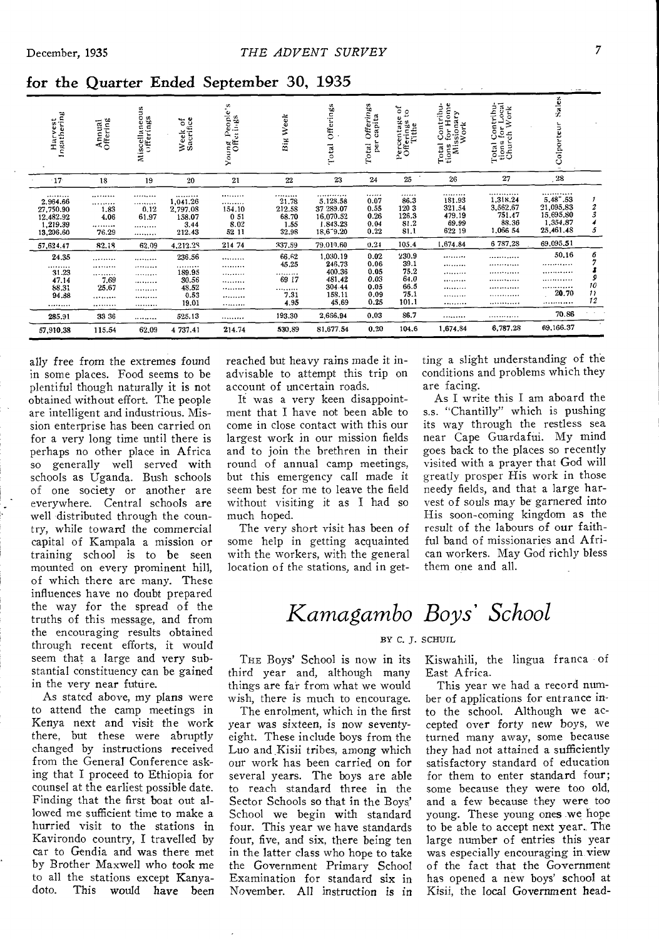| Harvest<br>Ingathering                                                   | Annual<br>Offering                 | Miscellaneous<br>Offerings    | Week of<br>Sacrifice                                     | People's<br>Young Peopl<br>Offerings   | Week<br>Sig                                     | Offerings<br>Total                                                          | <b>Offerings</b><br>capita<br>per<br>Total           | $\frac{64}{10}$<br>Percentage<br>Offerings<br>Tithe    | Total Contribu-<br>tions for Home<br>Missionary<br>Work | Contribu-<br>i for Local<br>ch Work<br>Total Co<br>tions for<br>Church | Sales<br>Colporteur                                             |                                               |
|--------------------------------------------------------------------------|------------------------------------|-------------------------------|----------------------------------------------------------|----------------------------------------|-------------------------------------------------|-----------------------------------------------------------------------------|------------------------------------------------------|--------------------------------------------------------|---------------------------------------------------------|------------------------------------------------------------------------|-----------------------------------------------------------------|-----------------------------------------------|
| $-17$                                                                    | 18                                 | 19                            | 20                                                       | 21                                     | 22                                              | 23                                                                          | 24                                                   | 25                                                     | 26                                                      | 27                                                                     | .28                                                             |                                               |
| *********<br>2.964.66<br>27,750.90<br>12,482.92<br>1,219.39<br>13,206.60 | <br><br>1.83<br>4.06<br><br>76.29  | <br><br>0.12<br>61.97<br><br> | <br>1,041.26<br>2,797.08<br>158.07<br>3.44<br>212.43     | <br><br>154.10<br>051<br>8.02<br>52 11 | .<br>21.78<br>212.58<br>68.70<br>1.55<br>32.98  | . . <i>.</i><br>5,128.58<br>37 289 07<br>16.070.52<br>1.843.23<br>18,679.20 | <br>0.07<br>0.55<br>0.26<br>0.04<br>0.22             | <br>86.3<br>120 3<br>126.3<br>81.2<br>81.1             | <br>181.93<br>321.54<br>479.19<br>69.99<br>622 19       | <br>1,318.24<br>3.562,67<br>751.47<br>88.36<br>1,066 54                | <br>5,48 .53<br>21,095.83<br>15,695.80<br>1,354.87<br>25,461.48 | $\frac{2}{3}$<br>5                            |
| 57,624.47                                                                | 82.18                              | 62.09                         | 4,212.28                                                 | 214 74                                 | 337.59                                          | 79.010.60                                                                   | 0.24                                                 | 105.4                                                  | 1,674.84                                                | 6 787.28                                                               | 69,095.51                                                       |                                               |
| 24.35<br><br>31.23<br>47.14<br>88.31<br>94.88<br>.                       | .<br><br><br>7.69<br>25.67<br><br> | <br><br><br><br><br><br>      | 236.56<br>.<br>189.95<br>30.56<br>48.52<br>0.53<br>19.01 | <br><br><br><br><br><br>               | 66.62<br>45.25<br><br>69 17<br><br>7.31<br>4.95 | 1,030.19<br>246,73<br>400.36<br>481,42<br>304.44<br>158.11<br>45.69         | 0.02<br>0.06<br>0.05<br>0.03<br>0.05<br>0.09<br>0.25 | 230.9<br>39.1<br>75.2<br>64.0<br>66.5<br>75.1<br>101.1 | <br><br><br><br><br><br>                                | . <b>.</b><br>. <i>.</i><br>. <u>.</u><br>.<br>.<br><br>               | 50.16<br><br><br>. <i>. .</i> .<br><br>20.70<br><b></b>         | 6<br>9<br>10<br>$\overline{\mathbf{v}}$<br>12 |
| 285.91                                                                   | 33 36                              |                               | 525.13                                                   |                                        | 193.30                                          | 2,666,94                                                                    | 0.03<br>0.20                                         | 86.7<br>104.6                                          | <br>1,674,84                                            | <br>6,787.28                                                           | 70.86<br>69,166.37                                              |                                               |
| 57,910.38                                                                | 115.54                             | 62.09                         | 4 737.41                                                 | 214.74                                 | 530.89                                          | 81,677.54                                                                   |                                                      |                                                        |                                                         |                                                                        |                                                                 |                                               |

for the Quarter Ended September 30, 1935

ally free from the extremes found in some places. Food seems to be plentiful though naturally it is not obtained without effort. The people are intelligent and industrious. Mission enterprise has been carried on for a very long time until there is perhaps no other place in Africa<br>so generally well served with schools as Uganda. Bush schools of one society or another are everywhere. Central schools are well distributed through the country, while toward the commercial capital of Kampala a mission or training school is to be seen mounted on every prominent hill, of which there are many. These influences have no doubt prepared the way for the spread of the truths of this message, and from the encouraging results obtained<br>through recent efforts, it would seem that a large and very substantial constituency can be gained in the very near future.

As stated above, my plans were to attend the camp meetings in Kenya next and visit the work there, but these were abruptly changed by instructions received from the General Conference asking that I proceed to Ethiopia for counsel at the earliest possible date. Finding that the first boat out allowed me sufficient time to make a hurried visit to the stations in Kavirondo country, I travelled by car to Gendia and was there met by Brother Maxwell who took me to all the stations except Kanyadoto. This would have been

reached but heavy rains made it inadvisable to attempt this trip on account of uncertain roads.

It was a very keen disappointment that I have not been able to come in close contact with this our largest work in our mission fields and to join the brethren in their round of annual camp meetings, but this emergency call made it seem best for me to leave the field without visiting it as I had so much hoped.

The very short visit has been of some help in getting acquainted with the workers, with the general location of the stations, and in getting a slight understanding of the conditions and problems which they are facing.

As I write this I am aboard the s.s. "Chantilly" which is pushing its way through the restless sea near Cape Guardafui. My mind goes back to the places so recently visited with a prayer that God will greatly prosper His work in those needy fields, and that a large harvest of souls may be garnered into His soon-coming kingdom as the result of the labours of our faithful band of missionaries and African workers. May God richly bless them one and all.

## Kamagambo Boys' School

#### BY C. J. SCHUIL

THE Boys' School is now in its third year and, although many things are far from what we would wish, there is much to encourage.

The enrolment, which in the first year was sixteen, is now seventyeight. These include boys from the Luo and Kisii tribes, among which our work has been carried on for several years. The boys are able to reach standard three in the Sector Schools so that in the Boys' School we begin with standard four. This year we have standards four, five, and six, there being ten in the latter class who hope to take the Government Primary School Examination for standard six in November. All instruction is in Kiswahili, the lingua franca of East Africa.

This year we had a record number of applications for entrance into the school. Although we accepted over forty new boys, we turned many away, some because they had not attained a sufficiently satisfactory standard of education for them to enter standard four; some because they were too old, and a few because they were too young. These young ones we hope to be able to accept next year. The large number of entries this year was especially encouraging in view of the fact that the Government has opened a new boys' school at Kisii, the local Government head-